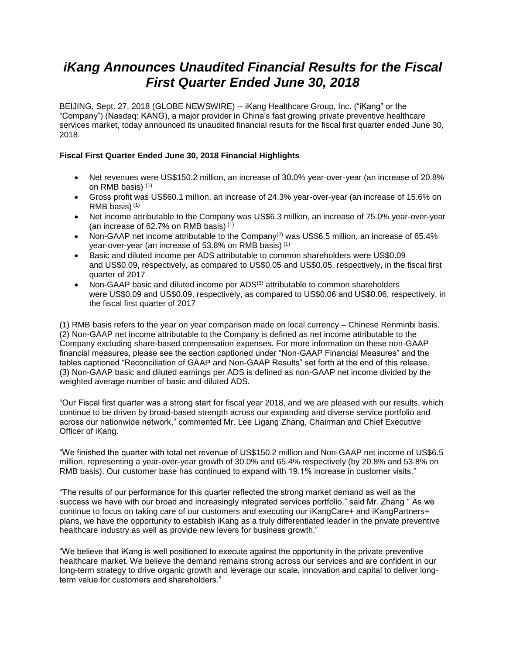# *iKang Announces Unaudited Financial Results for the Fiscal First Quarter Ended June 30, 2018*

BEIJING, Sept. 27, 2018 (GLOBE NEWSWIRE) -- iKang Healthcare Group, Inc. ("iKang" or the "Company") (Nasdaq: KANG), a major provider in China's fast growing private preventive healthcare services market, today announced its unaudited financial results for the fiscal first quarter ended June 30, 2018.

# **Fiscal First Quarter Ended June 30, 2018 Financial Highlights**

- Net revenues were US\$150.2 million, an increase of 30.0% year-over-year (an increase of 20.8% on RMB basis) (1)
- Gross profit was US\$60.1 million, an increase of 24.3% year-over-year (an increase of 15.6% on RMB basis) (1)
- Net income attributable to the Company was US\$6.3 million, an increase of 75.0% year-over-year (an increase of 62.7% on RMB basis) (1)
- Non-GAAP net income attributable to the Company<sup>(2)</sup> was US\$6.5 million, an increase of 65.4% year-over-year (an increase of 53.8% on RMB basis) (1)
- Basic and diluted income per ADS attributable to common shareholders were US\$0.09 and US\$0.09, respectively, as compared to US\$0.05 and US\$0.05, respectively, in the fiscal first quarter of 2017
- Non-GAAP basic and diluted income per ADS<sup>(3)</sup> attributable to common shareholders were US\$0.09 and US\$0.09, respectively, as compared to US\$0.06 and US\$0.06, respectively, in the fiscal first quarter of 2017

(1) RMB basis refers to the year on year comparison made on local currency – Chinese Renminbi basis. (2) Non-GAAP net income attributable to the Company is defined as net income attributable to the Company excluding share-based compensation expenses. For more information on these non-GAAP financial measures, please see the section captioned under "Non-GAAP Financial Measures" and the tables captioned "Reconciliation of GAAP and Non-GAAP Results" set forth at the end of this release. (3) Non-GAAP basic and diluted earnings per ADS is defined as non-GAAP net income divided by the weighted average number of basic and diluted ADS.

"Our Fiscal first quarter was a strong start for fiscal year 2018, and we are pleased with our results, which continue to be driven by broad-based strength across our expanding and diverse service portfolio and across our nationwide network," commented Mr. Lee Ligang Zhang, Chairman and Chief Executive Officer of iKang.

"We finished the quarter with total net revenue of US\$150.2 million and Non-GAAP net income of US\$6.5 million, representing a year-over-year growth of 30.0% and 65.4% respectively (by 20.8% and 53.8% on RMB basis). Our customer base has continued to expand with 19.1% increase in customer visits."

"The results of our performance for this quarter reflected the strong market demand as well as the success we have with our broad and increasingly integrated services portfolio." said Mr. Zhang " As we continue to focus on taking care of our customers and executing our iKangCare+ and iKangPartners+ plans, we have the opportunity to establish iKang as a truly differentiated leader in the private preventive healthcare industry as well as provide new levers for business growth."

"We believe that iKang is well positioned to execute against the opportunity in the private preventive healthcare market. We believe the demand remains strong across our services and are confident in our long-term strategy to drive organic growth and leverage our scale, innovation and capital to deliver longterm value for customers and shareholders."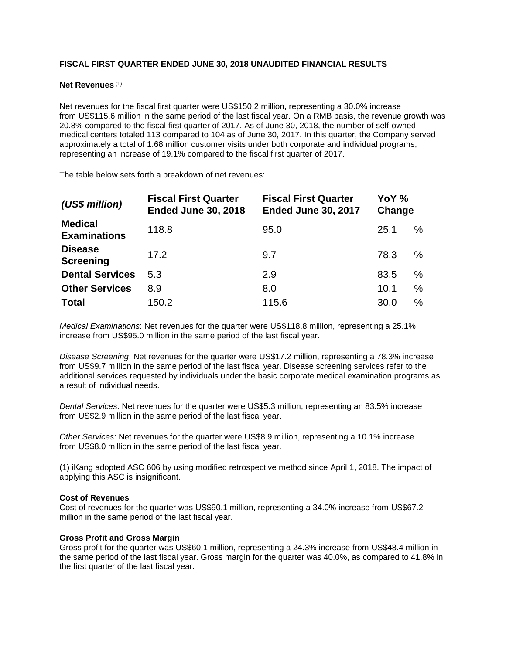# **FISCAL FIRST QUARTER ENDED JUNE 30, 2018 UNAUDITED FINANCIAL RESULTS**

#### **Net Revenues** (1)

Net revenues for the fiscal first quarter were US\$150.2 million, representing a 30.0% increase from US\$115.6 million in the same period of the last fiscal year*.* On a RMB basis, the revenue growth was 20.8% compared to the fiscal first quarter of 2017. As of June 30, 2018, the number of self-owned medical centers totaled 113 compared to 104 as of June 30, 2017. In this quarter, the Company served approximately a total of 1.68 million customer visits under both corporate and individual programs, representing an increase of 19.1% compared to the fiscal first quarter of 2017.

The table below sets forth a breakdown of net revenues:

| (US\$ million)                        | <b>Fiscal First Quarter</b><br><b>Ended June 30, 2018</b> | <b>Fiscal First Quarter</b><br><b>Ended June 30, 2017</b> | YoY %<br>Change |   |
|---------------------------------------|-----------------------------------------------------------|-----------------------------------------------------------|-----------------|---|
| <b>Medical</b><br><b>Examinations</b> | 118.8                                                     | 95.0                                                      | 25.1            | % |
| <b>Disease</b><br><b>Screening</b>    | 17.2                                                      | 9.7                                                       | 78.3            | % |
| <b>Dental Services</b>                | 5.3                                                       | 2.9                                                       | 83.5            | % |
| <b>Other Services</b>                 | 8.9                                                       | 8.0                                                       | 10.1            | % |
| <b>Total</b>                          | 150.2                                                     | 115.6                                                     | 30.0            | % |

*Medical Examinations*: Net revenues for the quarter were US\$118.8 million, representing a 25.1% increase from US\$95.0 million in the same period of the last fiscal year.

*Disease Screening*: Net revenues for the quarter were US\$17.2 million, representing a 78.3% increase from US\$9.7 million in the same period of the last fiscal year. Disease screening services refer to the additional services requested by individuals under the basic corporate medical examination programs as a result of individual needs.

*Dental Services*: Net revenues for the quarter were US\$5.3 million, representing an 83.5% increase from US\$2.9 million in the same period of the last fiscal year.

*Other Services*: Net revenues for the quarter were US\$8.9 million, representing a 10.1% increase from US\$8.0 million in the same period of the last fiscal year.

(1) iKang adopted ASC 606 by using modified retrospective method since April 1, 2018. The impact of applying this ASC is insignificant.

#### **Cost of Revenues**

Cost of revenues for the quarter was US\$90.1 million, representing a 34.0% increase from US\$67.2 million in the same period of the last fiscal year.

## **Gross Profit and Gross Margin**

Gross profit for the quarter was US\$60.1 million, representing a 24.3% increase from US\$48.4 million in the same period of the last fiscal year. Gross margin for the quarter was 40.0%, as compared to 41.8% in the first quarter of the last fiscal year.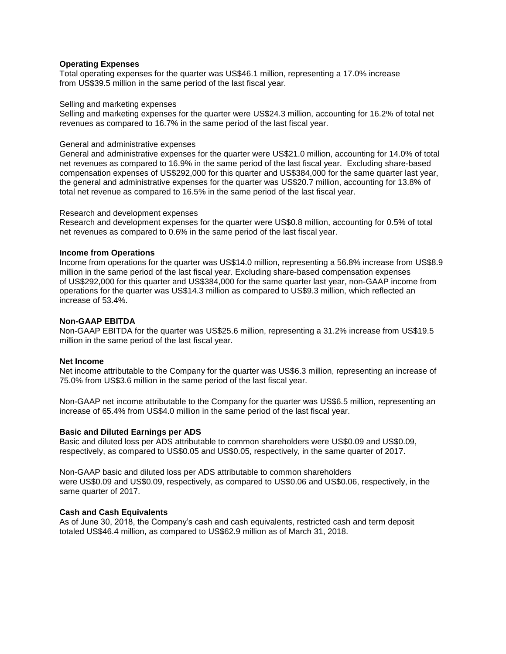### **Operating Expenses**

Total operating expenses for the quarter was US\$46.1 million, representing a 17.0% increase from US\$39.5 million in the same period of the last fiscal year.

#### Selling and marketing expenses

Selling and marketing expenses for the quarter were US\$24.3 million, accounting for 16.2% of total net revenues as compared to 16.7% in the same period of the last fiscal year.

#### General and administrative expenses

General and administrative expenses for the quarter were US\$21.0 million, accounting for 14.0% of total net revenues as compared to 16.9% in the same period of the last fiscal year. Excluding share-based compensation expenses of US\$292,000 for this quarter and US\$384,000 for the same quarter last year, the general and administrative expenses for the quarter was US\$20.7 million, accounting for 13.8% of total net revenue as compared to 16.5% in the same period of the last fiscal year.

#### Research and development expenses

Research and development expenses for the quarter were US\$0.8 million, accounting for 0.5% of total net revenues as compared to 0.6% in the same period of the last fiscal year.

#### **Income from Operations**

Income from operations for the quarter was US\$14.0 million, representing a 56.8% increase from US\$8.9 million in the same period of the last fiscal year. Excluding share-based compensation expenses of US\$292,000 for this quarter and US\$384,000 for the same quarter last year, non-GAAP income from operations for the quarter was US\$14.3 million as compared to US\$9.3 million, which reflected an increase of 53.4%.

#### **Non-GAAP EBITDA**

Non-GAAP EBITDA for the quarter was US\$25.6 million, representing a 31.2% increase from US\$19.5 million in the same period of the last fiscal year.

#### **Net Income**

Net income attributable to the Company for the quarter was US\$6.3 million, representing an increase of 75.0% from US\$3.6 million in the same period of the last fiscal year.

Non-GAAP net income attributable to the Company for the quarter was US\$6.5 million, representing an increase of 65.4% from US\$4.0 million in the same period of the last fiscal year.

#### **Basic and Diluted Earnings per ADS**

Basic and diluted loss per ADS attributable to common shareholders were US\$0.09 and US\$0.09, respectively, as compared to US\$0.05 and US\$0.05, respectively, in the same quarter of 2017.

Non-GAAP basic and diluted loss per ADS attributable to common shareholders were US\$0.09 and US\$0.09, respectively, as compared to US\$0.06 and US\$0.06, respectively, in the same quarter of 2017.

#### **Cash and Cash Equivalents**

As of June 30, 2018, the Company's cash and cash equivalents, restricted cash and term deposit totaled US\$46.4 million, as compared to US\$62.9 million as of March 31, 2018.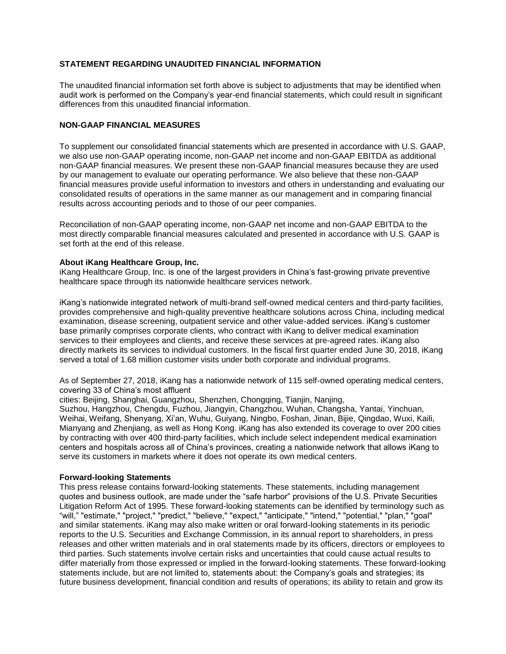# **STATEMENT REGARDING UNAUDITED FINANCIAL INFORMATION**

The unaudited financial information set forth above is subject to adjustments that may be identified when audit work is performed on the Company's year-end financial statements, which could result in significant differences from this unaudited financial information.

# **NON-GAAP FINANCIAL MEASURES**

To supplement our consolidated financial statements which are presented in accordance with U.S. GAAP, we also use non-GAAP operating income, non-GAAP net income and non-GAAP EBITDA as additional non-GAAP financial measures. We present these non-GAAP financial measures because they are used by our management to evaluate our operating performance. We also believe that these non-GAAP financial measures provide useful information to investors and others in understanding and evaluating our consolidated results of operations in the same manner as our management and in comparing financial results across accounting periods and to those of our peer companies.

Reconciliation of non-GAAP operating income, non-GAAP net income and non-GAAP EBITDA to the most directly comparable financial measures calculated and presented in accordance with U.S. GAAP is set forth at the end of this release.

## **About iKang Healthcare Group, Inc.**

iKang Healthcare Group, Inc. is one of the largest providers in China's fast-growing private preventive healthcare space through its nationwide healthcare services network.

iKang's nationwide integrated network of multi-brand self-owned medical centers and third-party facilities, provides comprehensive and high-quality preventive healthcare solutions across China, including medical examination, disease screening, outpatient service and other value-added services. iKang's customer base primarily comprises corporate clients, who contract with iKang to deliver medical examination services to their employees and clients, and receive these services at pre-agreed rates. iKang also directly markets its services to individual customers. In the fiscal first quarter ended June 30, 2018, iKang served a total of 1.68 million customer visits under both corporate and individual programs.

As of September 27, 2018, iKang has a nationwide network of 115 self-owned operating medical centers, covering 33 of China's most affluent

cities: Beijing, Shanghai, Guangzhou, Shenzhen, Chongqing, Tianjin, Nanjing,

Suzhou, Hangzhou, Chengdu, Fuzhou, Jiangyin, Changzhou, Wuhan, Changsha, Yantai, Yinchuan, Weihai, Weifang, Shenyang, Xi'an, Wuhu, Guiyang, Ningbo, Foshan, Jinan, Bijie, Qingdao, Wuxi, Kaili, Mianyang and Zhenjiang, as well as Hong Kong. iKang has also extended its coverage to over 200 cities by contracting with over 400 third-party facilities, which include select independent medical examination centers and hospitals across all of China's provinces, creating a nationwide network that allows iKang to serve its customers in markets where it does not operate its own medical centers.

## **Forward-looking Statements**

This press release contains forward-looking statements. These statements, including management quotes and business outlook, are made under the "safe harbor" provisions of the U.S. Private Securities Litigation Reform Act of 1995. These forward-looking statements can be identified by terminology such as "will," "estimate," "project," "predict," "believe," "expect," "anticipate," "intend," "potential," "plan," "goal" and similar statements. iKang may also make written or oral forward-looking statements in its periodic reports to the U.S. Securities and Exchange Commission, in its annual report to shareholders, in press releases and other written materials and in oral statements made by its officers, directors or employees to third parties. Such statements involve certain risks and uncertainties that could cause actual results to differ materially from those expressed or implied in the forward-looking statements. These forward-looking statements include, but are not limited to, statements about: the Company's goals and strategies; its future business development, financial condition and results of operations; its ability to retain and grow its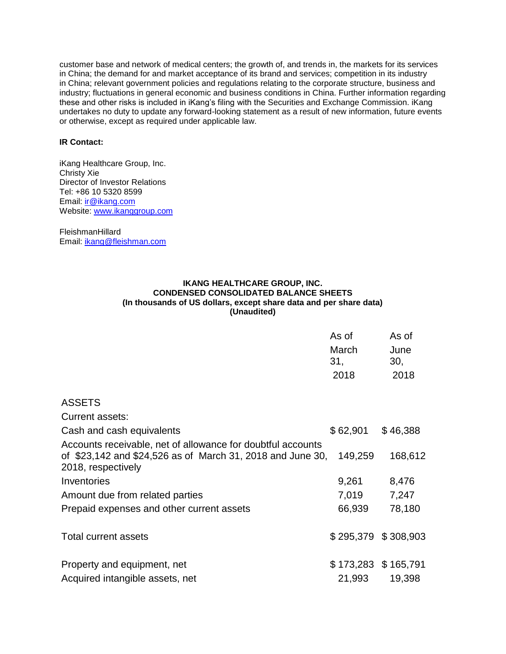customer base and network of medical centers; the growth of, and trends in, the markets for its services in China; the demand for and market acceptance of its brand and services; competition in its industry in China; relevant government policies and regulations relating to the corporate structure, business and industry; fluctuations in general economic and business conditions in China. Further information regarding these and other risks is included in iKang's filing with the Securities and Exchange Commission. iKang undertakes no duty to update any forward-looking statement as a result of new information, future events or otherwise, except as required under applicable law.

## **IR Contact:**

iKang Healthcare Group, Inc. Christy Xie Director of Investor Relations Tel: +86 10 5320 8599 Email: [ir@ikang.com](https://www.globenewswire.com/Tracker?data=Jsa97IjhnaZxsQRiBP1nJc5wIezf1gWyxuZiVTKQbOmAqOiko8-Gn7N6Tp3Q2LWHjNpmoyg88Pt5VblzTxO-mA==) Website: [www.ikanggroup.com](https://www.globenewswire.com/Tracker?data=Du04IK5-FX0pm-KB8pk06P3cuQQqm7sy-2_YJRYgRjCTrt4ewAk0tvD8IRIF6Sz2fweFJVDfCXRgfB_aT4Jmm_Yr_ilWkg6OljSbjLGhj6c=)

**FleishmanHillard** Email: [ikang@fleishman.com](https://www.globenewswire.com/Tracker?data=J_sORrhOXz4WYUuSS9p-wY8BtGr2Zsnvj5GXzOqaTqWObGuBqBL8F3AhpDxwdGtwuD-2GoGzmFWgyjng5bBmiO-GIeyA8_QXMlVqVrHklKE=)

# **IKANG HEALTHCARE GROUP, INC. CONDENSED CONSOLIDATED BALANCE SHEETS (In thousands of US dollars, except share data and per share data) (Unaudited)**

|                                                                                                                                                 | As of<br>March | As of<br>June         |  |
|-------------------------------------------------------------------------------------------------------------------------------------------------|----------------|-----------------------|--|
|                                                                                                                                                 | 31,            | 30,                   |  |
|                                                                                                                                                 | 2018           | 2018                  |  |
| <b>ASSETS</b>                                                                                                                                   |                |                       |  |
| <b>Current assets:</b>                                                                                                                          |                |                       |  |
| Cash and cash equivalents                                                                                                                       | \$62,901       | \$46,388              |  |
| Accounts receivable, net of allowance for doubtful accounts<br>of \$23,142 and \$24,526 as of March 31, 2018 and June 30,<br>2018, respectively | 149,259        | 168,612               |  |
| Inventories                                                                                                                                     | 9,261          | 8,476                 |  |
| Amount due from related parties                                                                                                                 | 7,019          | 7,247                 |  |
| Prepaid expenses and other current assets                                                                                                       | 66,939         | 78,180                |  |
| Total current assets                                                                                                                            |                | \$295,379 \$308,903   |  |
| Property and equipment, net                                                                                                                     |                | $$173,283$ $$165,791$ |  |
| Acquired intangible assets, net                                                                                                                 | 21,993         | 19,398                |  |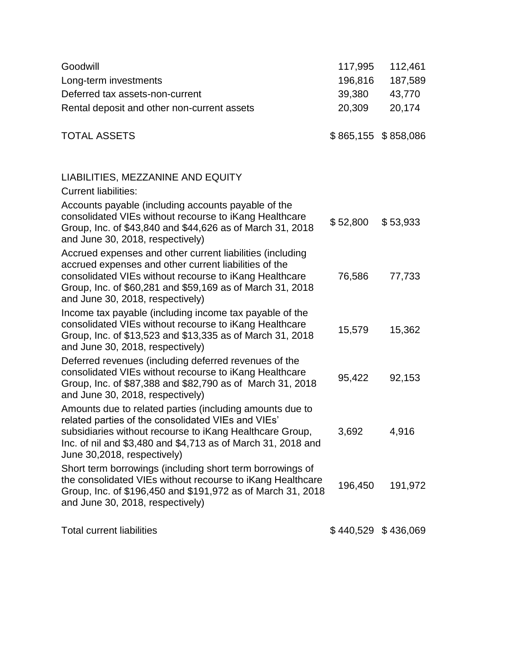| Goodwill<br>Long-term investments<br>Deferred tax assets-non-current<br>Rental deposit and other non-current assets                                                                                                                                                           | 117,995<br>196,816<br>39,380<br>20,309 | 112,461<br>187,589<br>43,770<br>20,174 |
|-------------------------------------------------------------------------------------------------------------------------------------------------------------------------------------------------------------------------------------------------------------------------------|----------------------------------------|----------------------------------------|
| <b>TOTAL ASSETS</b>                                                                                                                                                                                                                                                           |                                        | $$865,155$ $$858,086$                  |
| LIABILITIES, MEZZANINE AND EQUITY<br><b>Current liabilities:</b>                                                                                                                                                                                                              |                                        |                                        |
| Accounts payable (including accounts payable of the<br>consolidated VIEs without recourse to iKang Healthcare<br>Group, Inc. of \$43,840 and \$44,626 as of March 31, 2018<br>and June 30, 2018, respectively)                                                                | \$52,800                               | \$53,933                               |
| Accrued expenses and other current liabilities (including<br>accrued expenses and other current liabilities of the<br>consolidated VIEs without recourse to iKang Healthcare<br>Group, Inc. of \$60,281 and \$59,169 as of March 31, 2018<br>and June 30, 2018, respectively) | 76,586                                 | 77,733                                 |
| Income tax payable (including income tax payable of the<br>consolidated VIEs without recourse to iKang Healthcare<br>Group, Inc. of \$13,523 and \$13,335 as of March 31, 2018<br>and June 30, 2018, respectively)                                                            | 15,579                                 | 15,362                                 |
| Deferred revenues (including deferred revenues of the<br>consolidated VIEs without recourse to iKang Healthcare<br>Group, Inc. of \$87,388 and \$82,790 as of March 31, 2018<br>and June 30, 2018, respectively)                                                              | 95,422                                 | 92,153                                 |
| Amounts due to related parties (including amounts due to<br>related parties of the consolidated VIEs and VIEs'<br>subsidiaries without recourse to iKang Healthcare Group,<br>Inc. of nil and \$3,480 and \$4,713 as of March 31, 2018 and<br>June 30,2018, respectively)     | 3,692                                  | 4,916                                  |
| Short term borrowings (including short term borrowings of<br>the consolidated VIEs without recourse to iKang Healthcare<br>Group, Inc. of \$196,450 and \$191,972 as of March 31, 2018<br>and June 30, 2018, respectively)                                                    | 196,450                                | 191,972                                |
| <b>Total current liabilities</b>                                                                                                                                                                                                                                              |                                        | \$440,529 \$436,069                    |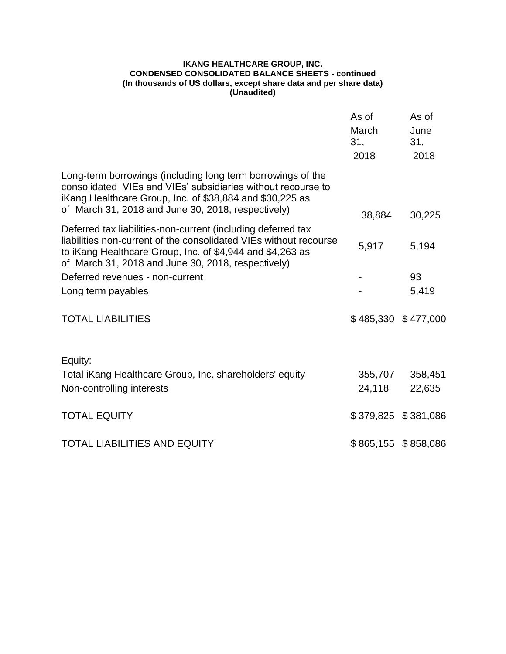## **IKANG HEALTHCARE GROUP, INC. CONDENSED CONSOLIDATED BALANCE SHEETS - continued (In thousands of US dollars, except share data and per share data) (Unaudited)**

|                                                                                                                                                                                                                                                      | As of<br>March<br>31,<br>2018 | As of<br>June<br>31 <sub>1</sub><br>2018 |
|------------------------------------------------------------------------------------------------------------------------------------------------------------------------------------------------------------------------------------------------------|-------------------------------|------------------------------------------|
| Long-term borrowings (including long term borrowings of the<br>consolidated VIEs and VIEs' subsidiaries without recourse to<br>iKang Healthcare Group, Inc. of \$38,884 and \$30,225 as<br>of March 31, 2018 and June 30, 2018, respectively)        | 38,884                        | 30,225                                   |
| Deferred tax liabilities-non-current (including deferred tax<br>liabilities non-current of the consolidated VIEs without recourse<br>to iKang Healthcare Group, Inc. of \$4,944 and \$4,263 as<br>of March 31, 2018 and June 30, 2018, respectively) | 5,917                         | 5,194                                    |
| Deferred revenues - non-current                                                                                                                                                                                                                      |                               | 93                                       |
| Long term payables                                                                                                                                                                                                                                   |                               | 5,419                                    |
| <b>TOTAL LIABILITIES</b>                                                                                                                                                                                                                             |                               | \$485,330 \$477,000                      |
| Equity:                                                                                                                                                                                                                                              |                               |                                          |
| Total iKang Healthcare Group, Inc. shareholders' equity                                                                                                                                                                                              | 355,707                       | 358,451                                  |
| Non-controlling interests                                                                                                                                                                                                                            | 24,118                        | 22,635                                   |
| <b>TOTAL EQUITY</b>                                                                                                                                                                                                                                  |                               | \$379,825 \$381,086                      |
| <b>TOTAL LIABILITIES AND EQUITY</b>                                                                                                                                                                                                                  |                               | \$865,155 \$858,086                      |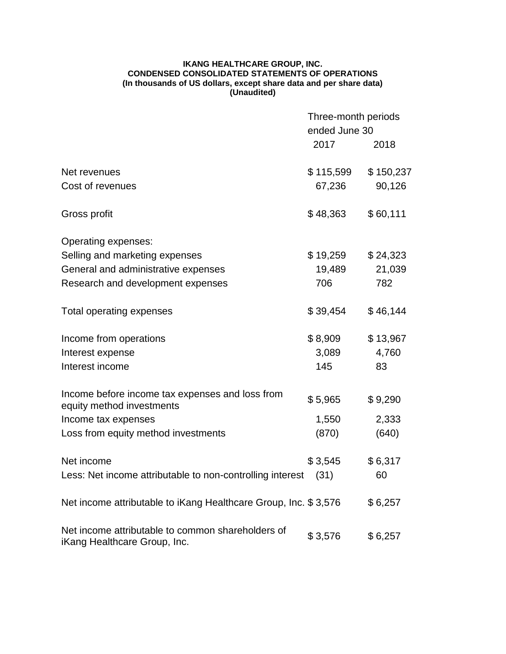## **IKANG HEALTHCARE GROUP, INC. CONDENSED CONSOLIDATED STATEMENTS OF OPERATIONS (In thousands of US dollars, except share data and per share data) (Unaudited)**

|                                                                                   | Three-month periods<br>ended June 30 |           |
|-----------------------------------------------------------------------------------|--------------------------------------|-----------|
|                                                                                   | 2017                                 | 2018      |
| Net revenues                                                                      | \$115,599                            | \$150,237 |
| Cost of revenues                                                                  | 67,236                               | 90,126    |
| Gross profit                                                                      | \$48,363                             | \$60,111  |
| Operating expenses:                                                               |                                      |           |
| Selling and marketing expenses                                                    | \$19,259                             | \$24,323  |
| General and administrative expenses                                               | 19,489                               | 21,039    |
| Research and development expenses                                                 | 706                                  | 782       |
| Total operating expenses                                                          | \$39,454                             | \$46,144  |
| Income from operations                                                            | \$8,909                              | \$13,967  |
| Interest expense                                                                  | 3,089                                | 4,760     |
| Interest income                                                                   | 145                                  | 83        |
| Income before income tax expenses and loss from                                   | \$5,965                              | \$9,290   |
| equity method investments                                                         |                                      |           |
| Income tax expenses                                                               | 1,550                                | 2,333     |
| Loss from equity method investments                                               | (870)                                | (640)     |
| Net income                                                                        | \$3,545                              | \$6,317   |
| Less: Net income attributable to non-controlling interest                         | (31)                                 | 60        |
| Net income attributable to iKang Healthcare Group, Inc. \$3,576                   |                                      | \$6,257   |
| Net income attributable to common shareholders of<br>iKang Healthcare Group, Inc. | \$3,576                              | \$6,257   |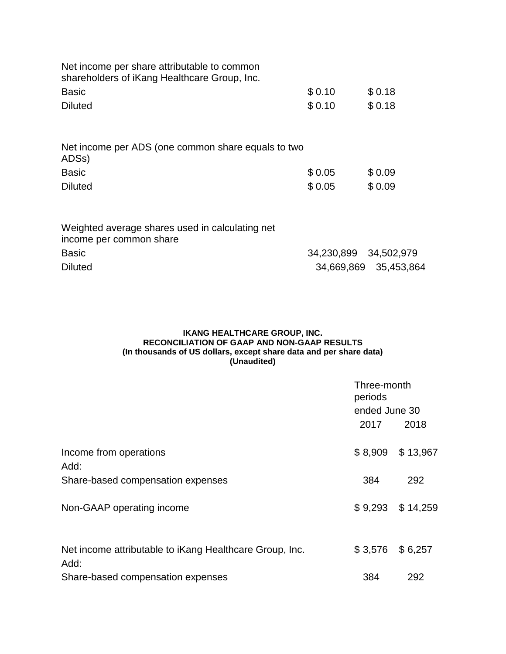| Net income per share attributable to common<br>shareholders of iKang Healthcare Group, Inc. |        |        |
|---------------------------------------------------------------------------------------------|--------|--------|
| <b>Basic</b>                                                                                | \$0.10 | \$0.18 |
| <b>Diluted</b>                                                                              | \$0.10 | \$0.18 |
| Net income per ADS (one common share equals to two<br>ADSs)                                 |        |        |
| <b>Basic</b>                                                                                | \$0.05 | \$0.09 |
| <b>Diluted</b>                                                                              | \$0.05 | \$0.09 |
| Weighted average shares used in calculating net                                             |        |        |

| income per common share |                       |                       |
|-------------------------|-----------------------|-----------------------|
| <b>Basic</b>            | 34,230,899 34,502,979 |                       |
| <b>Diluted</b>          |                       | 34,669,869 35,453,864 |

# **IKANG HEALTHCARE GROUP, INC. RECONCILIATION OF GAAP AND NON-GAAP RESULTS (In thousands of US dollars, except share data and per share data) (Unaudited)**

|                                                                 | Three-month<br>periods<br>ended June 30 |          |
|-----------------------------------------------------------------|-----------------------------------------|----------|
|                                                                 |                                         |          |
|                                                                 | 2017                                    | 2018     |
| Income from operations<br>Add:                                  | \$8,909                                 | \$13,967 |
| Share-based compensation expenses                               | 384                                     | 292      |
| Non-GAAP operating income                                       | \$9,293                                 | \$14,259 |
| Net income attributable to iKang Healthcare Group, Inc.<br>Add: | \$3,576                                 | \$6,257  |
| Share-based compensation expenses                               | 384                                     | 292      |